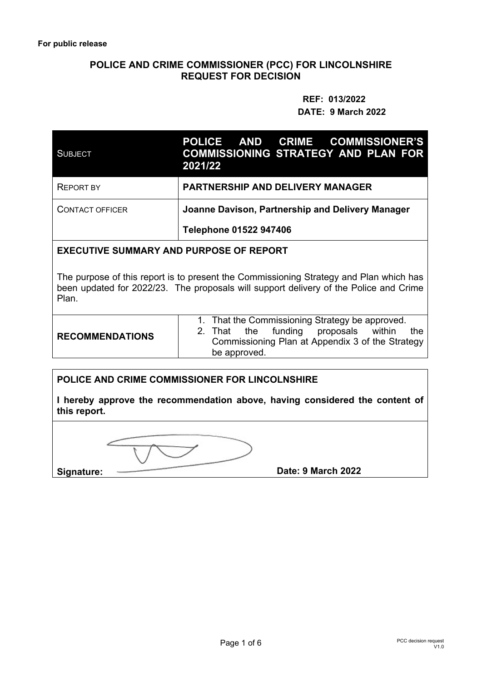#### **POLICE AND CRIME COMMISSIONER (PCC) FOR LINCOLNSHIRE REQUEST FOR DECISION**

# **REF: 013/2022 DATE: 9 March 2022**

| <b>SUBJECT</b>         | POLICE AND CRIME COMMISSIONER'S<br><b>COMMISSIONING STRATEGY AND PLAN FOR</b><br>2021/22 |  |
|------------------------|------------------------------------------------------------------------------------------|--|
| <b>REPORT BY</b>       | <b>PARTNERSHIP AND DELIVERY MANAGER</b>                                                  |  |
| <b>CONTACT OFFICER</b> | Joanne Davison, Partnership and Delivery Manager                                         |  |
|                        | Telephone 01522 947406                                                                   |  |

#### **EXECUTIVE SUMMARY AND PURPOSE OF REPORT**

The purpose of this report is to present the Commissioning Strategy and Plan which has been updated for 2022/23. The proposals will support delivery of the Police and Crime Plan.

| <b>RECOMMENDATIONS</b> | 1. That the Commissioning Strategy be approved.                                                 |  |  |
|------------------------|-------------------------------------------------------------------------------------------------|--|--|
|                        | 2. That the funding proposals within<br>the<br>Commissioning Plan at Appendix 3 of the Strategy |  |  |
|                        | be approved.                                                                                    |  |  |

#### **POLICE AND CRIME COMMISSIONER FOR LINCOLNSHIRE**

**I hereby approve the recommendation above, having considered the content of this report.** 

Signature: Date: 9 March 2022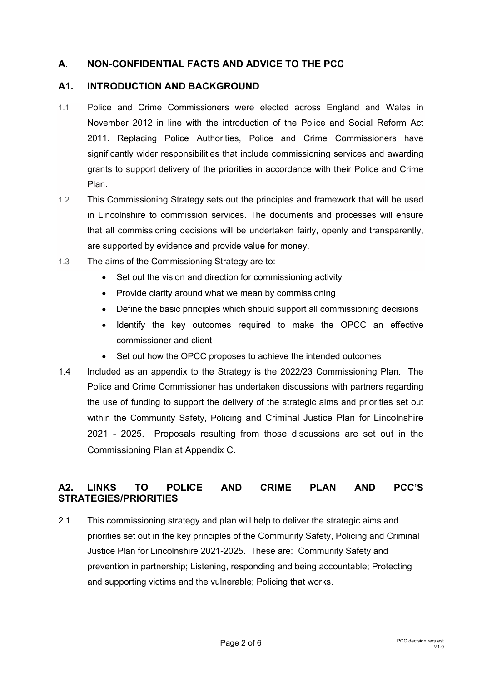# **A. NON-CONFIDENTIAL FACTS AND ADVICE TO THE PCC**

#### **A1. INTRODUCTION AND BACKGROUND**

- 1.1 Police and Crime Commissioners were elected across England and Wales in November 2012 in line with the introduction of the Police and Social Reform Act 2011. Replacing Police Authorities, Police and Crime Commissioners have significantly wider responsibilities that include commissioning services and awarding grants to support delivery of the priorities in accordance with their Police and Crime Plan.
- 1.2 This Commissioning Strategy sets out the principles and framework that will be used in Lincolnshire to commission services. The documents and processes will ensure that all commissioning decisions will be undertaken fairly, openly and transparently, are supported by evidence and provide value for money.
- 1.3 The aims of the Commissioning Strategy are to:
	- Set out the vision and direction for commissioning activity
	- Provide clarity around what we mean by commissioning
	- Define the basic principles which should support all commissioning decisions
	- Identify the key outcomes required to make the OPCC an effective commissioner and client
	- Set out how the OPCC proposes to achieve the intended outcomes
- 1.4 Included as an appendix to the Strategy is the 2022/23 Commissioning Plan. The Police and Crime Commissioner has undertaken discussions with partners regarding the use of funding to support the delivery of the strategic aims and priorities set out within the Community Safety, Policing and Criminal Justice Plan for Lincolnshire 2021 - 2025. Proposals resulting from those discussions are set out in the Commissioning Plan at Appendix C.

# **A2. LINKS TO POLICE AND CRIME PLAN AND PCC'S STRATEGIES/PRIORITIES**

2.1 This commissioning strategy and plan will help to deliver the strategic aims and priorities set out in the key principles of the Community Safety, Policing and Criminal Justice Plan for Lincolnshire 2021-2025. These are: Community Safety and prevention in partnership; Listening, responding and being accountable; Protecting and supporting victims and the vulnerable; Policing that works.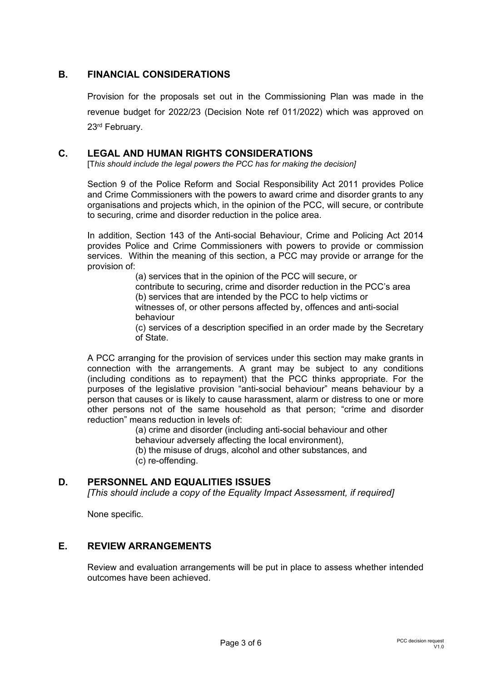## **B. FINANCIAL CONSIDERATIONS**

Provision for the proposals set out in the Commissioning Plan was made in the revenue budget for 2022/23 (Decision Note ref 011/2022) which was approved on 23rd February.

#### **C. LEGAL AND HUMAN RIGHTS CONSIDERATIONS**

[T*his should include the legal powers the PCC has for making the decision]*

Section 9 of the Police Reform and Social Responsibility Act 2011 provides Police and Crime Commissioners with the powers to award crime and disorder grants to any organisations and projects which, in the opinion of the PCC, will secure, or contribute to securing, crime and disorder reduction in the police area.

In addition, Section 143 of the Anti-social Behaviour, Crime and Policing Act 2014 provides Police and Crime Commissioners with powers to provide or commission services. Within the meaning of this section, a PCC may provide or arrange for the provision of:

> (a) services that in the opinion of the PCC will secure, or contribute to securing, crime and disorder reduction in the PCC's area (b) services that are intended by the PCC to help victims or witnesses of, or other persons affected by, offences and anti-social behaviour

(c) services of a description specified in an order made by the Secretary of State.

A PCC arranging for the provision of services under this section may make grants in connection with the arrangements. A grant may be subject to any conditions (including conditions as to repayment) that the PCC thinks appropriate. For the purposes of the legislative provision "anti-social behaviour" means behaviour by a person that causes or is likely to cause harassment, alarm or distress to one or more other persons not of the same household as that person; "crime and disorder reduction" means reduction in levels of:

(a) crime and disorder (including anti-social behaviour and other

behaviour adversely affecting the local environment),

(b) the misuse of drugs, alcohol and other substances, and

(c) re-offending.

#### **D. PERSONNEL AND EQUALITIES ISSUES**

*[This should include a copy of the Equality Impact Assessment, if required]* 

None specific.

## **E. REVIEW ARRANGEMENTS**

Review and evaluation arrangements will be put in place to assess whether intended outcomes have been achieved.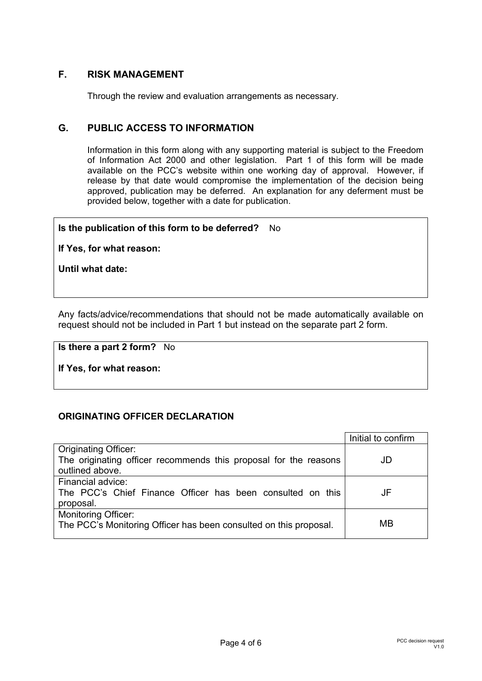## **F. RISK MANAGEMENT**

Through the review and evaluation arrangements as necessary.

#### **G. PUBLIC ACCESS TO INFORMATION**

Information in this form along with any supporting material is subject to the Freedom of Information Act 2000 and other legislation. Part 1 of this form will be made available on the PCC's website within one working day of approval. However, if release by that date would compromise the implementation of the decision being approved, publication may be deferred. An explanation for any deferment must be provided below, together with a date for publication.

#### **Is the publication of this form to be deferred?** No

**If Yes, for what reason:** 

**Until what date:** 

Any facts/advice/recommendations that should not be made automatically available on request should not be included in Part 1 but instead on the separate part 2 form.

**Is there a part 2 form?** No

**If Yes, for what reason:** 

#### **ORIGINATING OFFICER DECLARATION**

|                                                                                     | Initial to confirm |
|-------------------------------------------------------------------------------------|--------------------|
| <b>Originating Officer:</b>                                                         |                    |
| The originating officer recommends this proposal for the reasons<br>outlined above. | JD                 |
| Financial advice:                                                                   |                    |
| The PCC's Chief Finance Officer has been consulted on this                          | JF                 |
| proposal.                                                                           |                    |
| <b>Monitoring Officer:</b>                                                          |                    |
| The PCC's Monitoring Officer has been consulted on this proposal.                   | MВ                 |
|                                                                                     |                    |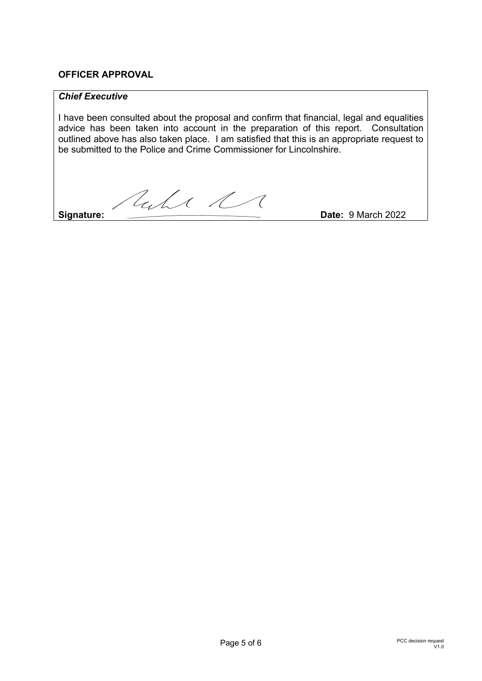## **OFFICER APPROVAL**

#### *Chief Executive*

I have been consulted about the proposal and confirm that financial, legal and equalities advice has been taken into account in the preparation of this report. Consultation outlined above has also taken place. I am satisfied that this is an appropriate request to be submitted to the Police and Crime Commissioner for Lincolnshire.

Ruhe R

**Signature:** Date: 9 March 2022